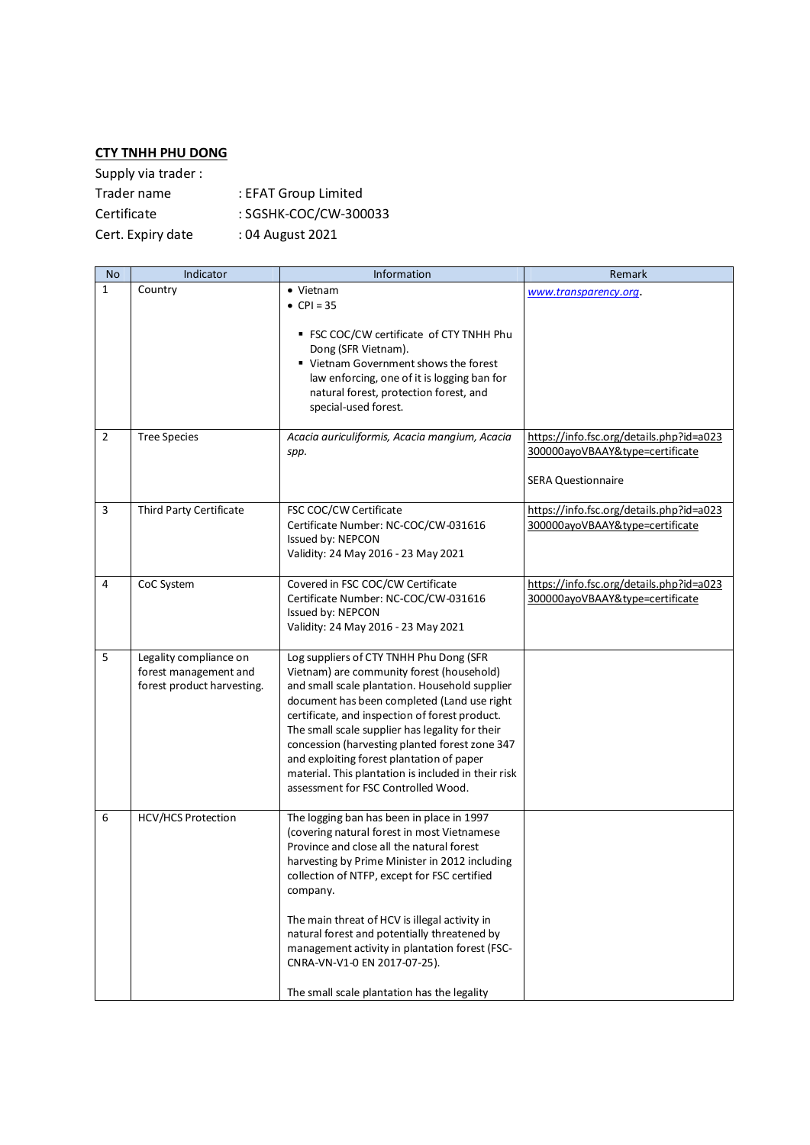## **CTY TNHH PHU DONG**

| Supply via trader: |                       |
|--------------------|-----------------------|
| Trader name        | : EFAT Group Limited  |
| Certificate        | : SGSHK-COC/CW-300033 |
| Cert. Expiry date  | : 04 August 2021      |

| <b>No</b>      | Indicator                                                                     | Information                                                                                                                                                                                                                                                                                                                                                                                                                                                                             | Remark                                                                                                   |
|----------------|-------------------------------------------------------------------------------|-----------------------------------------------------------------------------------------------------------------------------------------------------------------------------------------------------------------------------------------------------------------------------------------------------------------------------------------------------------------------------------------------------------------------------------------------------------------------------------------|----------------------------------------------------------------------------------------------------------|
| $\mathbf{1}$   | Country                                                                       | • Vietnam<br>• CPI = 35<br>" FSC COC/CW certificate of CTY TNHH Phu<br>Dong (SFR Vietnam).<br>■ Vietnam Government shows the forest<br>law enforcing, one of it is logging ban for<br>natural forest, protection forest, and<br>special-used forest.                                                                                                                                                                                                                                    | www.transparency.org.                                                                                    |
| $\overline{2}$ | <b>Tree Species</b>                                                           | Acacia auriculiformis, Acacia mangium, Acacia<br>spp.                                                                                                                                                                                                                                                                                                                                                                                                                                   | https://info.fsc.org/details.php?id=a023<br>300000ayoVBAAY&type=certificate<br><b>SERA Questionnaire</b> |
| 3              | Third Party Certificate                                                       | FSC COC/CW Certificate<br>Certificate Number: NC-COC/CW-031616<br>Issued by: NEPCON<br>Validity: 24 May 2016 - 23 May 2021                                                                                                                                                                                                                                                                                                                                                              | https://info.fsc.org/details.php?id=a023<br>300000ayoVBAAY&type=certificate                              |
| 4              | CoC System                                                                    | Covered in FSC COC/CW Certificate<br>Certificate Number: NC-COC/CW-031616<br>Issued by: NEPCON<br>Validity: 24 May 2016 - 23 May 2021                                                                                                                                                                                                                                                                                                                                                   | https://info.fsc.org/details.php?id=a023<br>300000ayoVBAAY&type=certificate                              |
| 5              | Legality compliance on<br>forest management and<br>forest product harvesting. | Log suppliers of CTY TNHH Phu Dong (SFR<br>Vietnam) are community forest (household)<br>and small scale plantation. Household supplier<br>document has been completed (Land use right<br>certificate, and inspection of forest product.<br>The small scale supplier has legality for their<br>concession (harvesting planted forest zone 347<br>and exploiting forest plantation of paper<br>material. This plantation is included in their risk<br>assessment for FSC Controlled Wood. |                                                                                                          |
| 6              | <b>HCV/HCS Protection</b>                                                     | The logging ban has been in place in 1997<br>(covering natural forest in most Vietnamese<br>Province and close all the natural forest<br>harvesting by Prime Minister in 2012 including<br>collection of NTFP, except for FSC certified<br>company.<br>The main threat of HCV is illegal activity in<br>natural forest and potentially threatened by<br>management activity in plantation forest (FSC-<br>CNRA-VN-V1-0 EN 2017-07-25).<br>The small scale plantation has the legality   |                                                                                                          |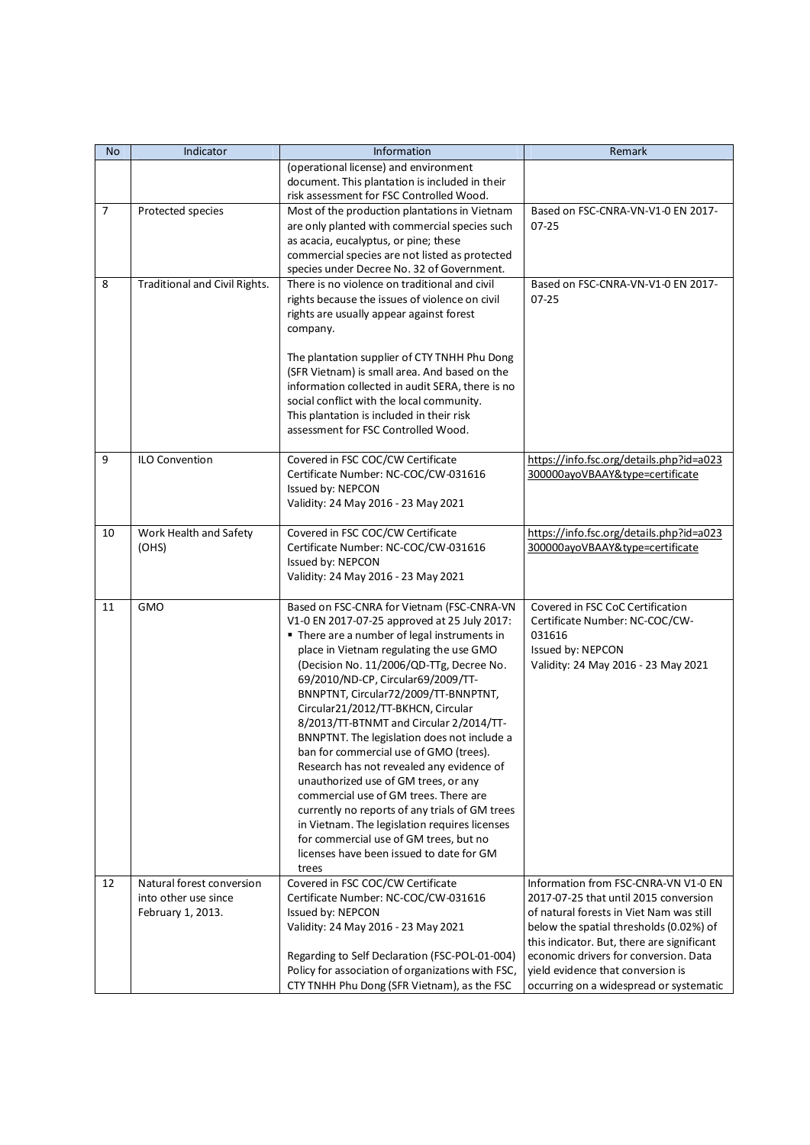| No             | Indicator                                                              | Information                                                                                                                                                                                                                                                                                                                                                                                                                                                                                                                                                                                                                                                                                                                                                                                                               | Remark                                                                                                                                                                                                                                                                                                                                      |
|----------------|------------------------------------------------------------------------|---------------------------------------------------------------------------------------------------------------------------------------------------------------------------------------------------------------------------------------------------------------------------------------------------------------------------------------------------------------------------------------------------------------------------------------------------------------------------------------------------------------------------------------------------------------------------------------------------------------------------------------------------------------------------------------------------------------------------------------------------------------------------------------------------------------------------|---------------------------------------------------------------------------------------------------------------------------------------------------------------------------------------------------------------------------------------------------------------------------------------------------------------------------------------------|
|                |                                                                        | (operational license) and environment<br>document. This plantation is included in their<br>risk assessment for FSC Controlled Wood.                                                                                                                                                                                                                                                                                                                                                                                                                                                                                                                                                                                                                                                                                       |                                                                                                                                                                                                                                                                                                                                             |
| $\overline{7}$ | Protected species                                                      | Most of the production plantations in Vietnam<br>are only planted with commercial species such<br>as acacia, eucalyptus, or pine; these<br>commercial species are not listed as protected<br>species under Decree No. 32 of Government.                                                                                                                                                                                                                                                                                                                                                                                                                                                                                                                                                                                   | Based on FSC-CNRA-VN-V1-0 EN 2017-<br>$07 - 25$                                                                                                                                                                                                                                                                                             |
| 8              | Traditional and Civil Rights.                                          | There is no violence on traditional and civil<br>rights because the issues of violence on civil<br>rights are usually appear against forest<br>company.<br>The plantation supplier of CTY TNHH Phu Dong<br>(SFR Vietnam) is small area. And based on the<br>information collected in audit SERA, there is no<br>social conflict with the local community.<br>This plantation is included in their risk<br>assessment for FSC Controlled Wood.                                                                                                                                                                                                                                                                                                                                                                             | Based on FSC-CNRA-VN-V1-0 EN 2017-<br>$07 - 25$                                                                                                                                                                                                                                                                                             |
| 9              | <b>ILO Convention</b>                                                  | Covered in FSC COC/CW Certificate<br>Certificate Number: NC-COC/CW-031616<br>Issued by: NEPCON<br>Validity: 24 May 2016 - 23 May 2021                                                                                                                                                                                                                                                                                                                                                                                                                                                                                                                                                                                                                                                                                     | https://info.fsc.org/details.php?id=a023<br>300000ayoVBAAY&type=certificate                                                                                                                                                                                                                                                                 |
| 10             | Work Health and Safety<br>(OHS)                                        | Covered in FSC COC/CW Certificate<br>Certificate Number: NC-COC/CW-031616<br>Issued by: NEPCON<br>Validity: 24 May 2016 - 23 May 2021                                                                                                                                                                                                                                                                                                                                                                                                                                                                                                                                                                                                                                                                                     | https://info.fsc.org/details.php?id=a023<br>300000ayoVBAAY&type=certificate                                                                                                                                                                                                                                                                 |
| 11             | GMO                                                                    | Based on FSC-CNRA for Vietnam (FSC-CNRA-VN<br>V1-0 EN 2017-07-25 approved at 25 July 2017:<br>• There are a number of legal instruments in<br>place in Vietnam regulating the use GMO<br>(Decision No. 11/2006/QD-TTg, Decree No.<br>69/2010/ND-CP, Circular69/2009/TT-<br>BNNPTNT, Circular72/2009/TT-BNNPTNT,<br>Circular21/2012/TT-BKHCN, Circular<br>8/2013/TT-BTNMT and Circular 2/2014/TT-<br>BNNPTNT. The legislation does not include a<br>ban for commercial use of GMO (trees).<br>Research has not revealed any evidence of<br>unauthorized use of GM trees, or any<br>commercial use of GM trees. There are<br>currently no reports of any trials of GM trees<br>in Vietnam. The legislation requires licenses<br>for commercial use of GM trees, but no<br>licenses have been issued to date for GM<br>trees | Covered in FSC CoC Certification<br>Certificate Number: NC-COC/CW-<br>031616<br>Issued by: NEPCON<br>Validity: 24 May 2016 - 23 May 2021                                                                                                                                                                                                    |
| 12             | Natural forest conversion<br>into other use since<br>February 1, 2013. | Covered in FSC COC/CW Certificate<br>Certificate Number: NC-COC/CW-031616<br>Issued by: NEPCON<br>Validity: 24 May 2016 - 23 May 2021<br>Regarding to Self Declaration (FSC-POL-01-004)<br>Policy for association of organizations with FSC,<br>CTY TNHH Phu Dong (SFR Vietnam), as the FSC                                                                                                                                                                                                                                                                                                                                                                                                                                                                                                                               | Information from FSC-CNRA-VN V1-0 EN<br>2017-07-25 that until 2015 conversion<br>of natural forests in Viet Nam was still<br>below the spatial thresholds (0.02%) of<br>this indicator. But, there are significant<br>economic drivers for conversion. Data<br>yield evidence that conversion is<br>occurring on a widespread or systematic |